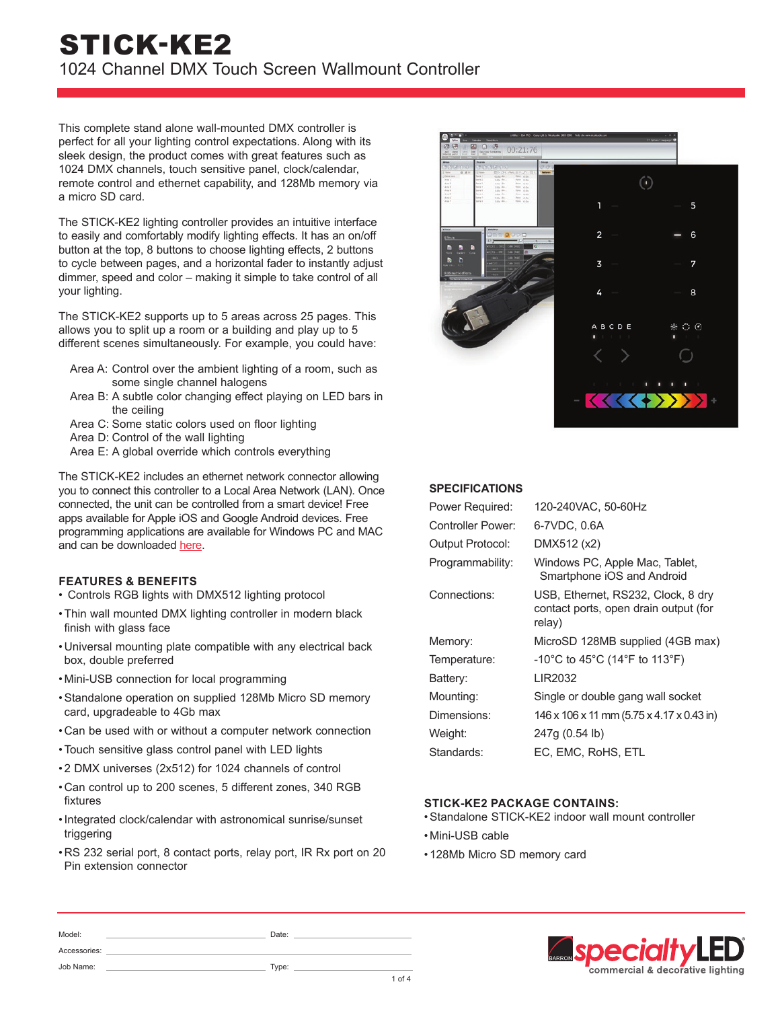# STICK-KE2 1024 Channel DMX Touch Screen Wallmount Controller

This complete stand alone wall-mounted DMX controller is perfect for all your lighting control expectations. Along with its sleek design, the product comes with great features such as 1024 DMX channels, touch sensitive panel, clock/calendar, remote control and ethernet capability, and 128Mb memory via a micro SD card.

The STICK-KE2 lighting controller provides an intuitive interface to easily and comfortably modify lighting effects. It has an on/off button at the top, 8 buttons to choose lighting effects, 2 buttons to cycle between pages, and a horizontal fader to instantly adjust dimmer, speed and color – making it simple to take control of all your lighting.

The STICK-KE2 supports up to 5 areas across 25 pages. This allows you to split up a room or a building and play up to 5 different scenes simultaneously. For example, you could have:

- Area A: Control over the ambient lighting of a room, such as some single channel halogens
- Area B: A subtle color changing effect playing on LED bars in the ceiling
- Area C: Some static colors used on floor lighting
- Area D: Control of the wall lighting
- Area E: A global override which controls everything

The STICK-KE2 includes an ethernet network connector allowing you to connect this controller to a Local Area Network (LAN). Once connected, the unit can be controlled from a smart device! Free apps available for Apple iOS and Google Android devices. Free programming applications are available for Windows PC and MAC and can be downloaded [here](https://www.nicolaudie.com/en/download.htm).

# **FEATURES & BENEFITS**

- Controls RGB lights with DMX512 lighting protocol
- •Thin wall mounted DMX lighting controller in modern black finish with glass face
- Universal mounting plate compatible with any electrical back box, double preferred
- Mini-USB connection for local programming
- •Standalone operation on supplied 128Mb Micro SD memory card, upgradeable to 4Gb max
- Can be used with or without a computer network connection
- •Touch sensitive glass control panel with LED lights

Model: Date:

Job Name: Type:

Accessories:

- 2 DMX universes (2x512) for 1024 channels of control
- Can control up to 200 scenes, 5 different zones, 340 RGB fixtures
- •Integrated clock/calendar with astronomical sunrise/sunset triggering
- RS 232 serial port, 8 contact ports, relay port, IR Rx port on 20 Pin extension connector



# **SPECIFICATIONS**

| Power Required:   | 120-240VAC, 50-60Hz                                                                   |
|-------------------|---------------------------------------------------------------------------------------|
| Controller Power: | 6-7VDC, 0.6A                                                                          |
| Output Protocol:  | DMX512 (x2)                                                                           |
| Programmability:  | Windows PC, Apple Mac, Tablet,<br>Smartphone iOS and Android                          |
| Connections:      | USB, Ethernet, RS232, Clock, 8 dry<br>contact ports, open drain output (for<br>relay) |
| Memory:           | MicroSD 128MB supplied (4GB max)                                                      |
| Temperature:      | -10°C to 45°C (14°F to 113°F)                                                         |
| Battery:          | LIR2032                                                                               |
| Mounting:         | Single or double gang wall socket                                                     |
| Dimensions:       | 146 x 106 x 11 mm (5.75 x 4.17 x 0.43 in)                                             |
| Weight:           | 247q (0.54 lb)                                                                        |
| Standards:        | EC, EMC, RoHS, ETL                                                                    |
|                   |                                                                                       |

# **STICK-KE2 PACKAGE CONTAINS:**

- •Standalone STICK-KE2 indoor wall mount controller
- Mini-USB cable

1 of 4

• 128Mb Micro SD memory card

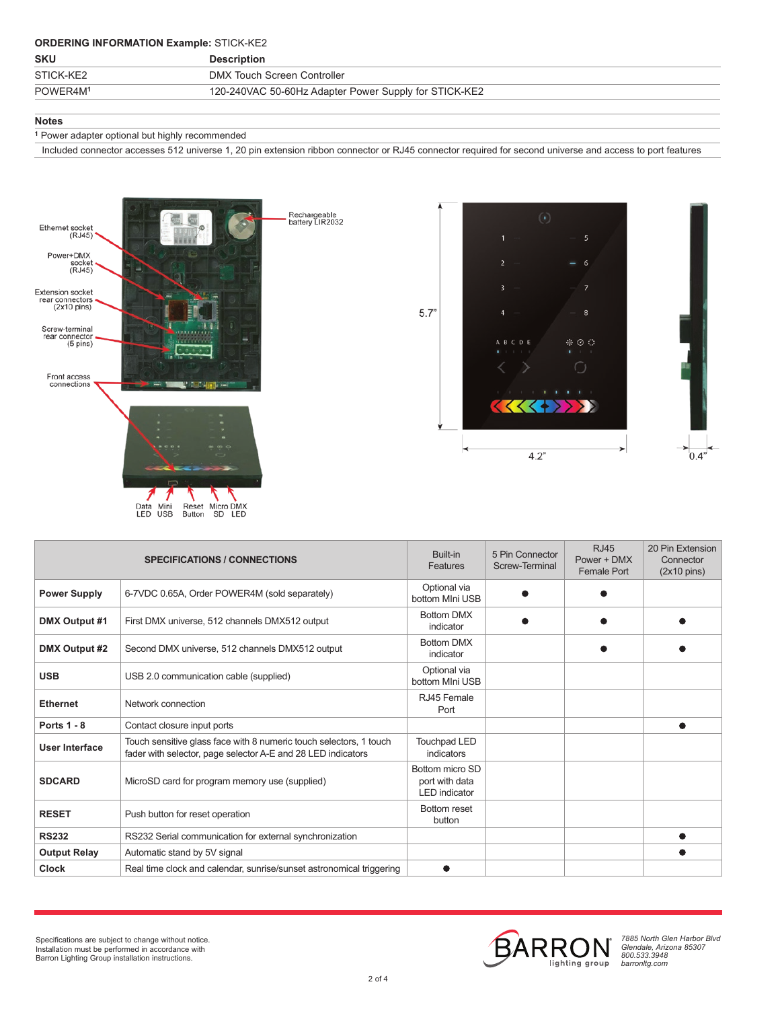# **ORDERING INFORMATION Example:** STICK-KE2

| <b>SKU</b>           | <b>Description</b>                                    |  |
|----------------------|-------------------------------------------------------|--|
| STICK-KE2            | DMX Touch Screen Controller                           |  |
| POWER4M <sup>1</sup> | 120-240VAC 50-60Hz Adapter Power Supply for STICK-KE2 |  |
|                      |                                                       |  |

## **Notes**

**<sup>1</sup>** Power adapter optional but highly recommended

Included connector accesses 512 universe 1, 20 pin extension ribbon connector or RJ45 connector required for second universe and access to port features





| <b>SPECIFICATIONS / CONNECTIONS</b> |                                                                                                                                    | Built-in<br><b>Features</b>                               | 5 Pin Connector<br>Screw-Terminal | <b>RJ45</b><br>Power + DMX<br><b>Female Port</b> | 20 Pin Extension<br>Connector<br>$(2x10 \text{ pins})$ |
|-------------------------------------|------------------------------------------------------------------------------------------------------------------------------------|-----------------------------------------------------------|-----------------------------------|--------------------------------------------------|--------------------------------------------------------|
| <b>Power Supply</b>                 | 6-7VDC 0.65A, Order POWER4M (sold separately)                                                                                      | Optional via<br>bottom MIni USB                           |                                   |                                                  |                                                        |
| DMX Output #1                       | First DMX universe, 512 channels DMX512 output                                                                                     | <b>Bottom DMX</b><br>indicator                            |                                   |                                                  |                                                        |
| DMX Output #2                       | Second DMX universe, 512 channels DMX512 output                                                                                    | <b>Bottom DMX</b><br>indicator                            |                                   |                                                  |                                                        |
| <b>USB</b>                          | USB 2.0 communication cable (supplied)                                                                                             | Optional via<br>bottom MIni USB                           |                                   |                                                  |                                                        |
| <b>Ethernet</b>                     | Network connection                                                                                                                 | RJ45 Female<br>Port                                       |                                   |                                                  |                                                        |
| <b>Ports 1 - 8</b>                  | Contact closure input ports                                                                                                        |                                                           |                                   |                                                  |                                                        |
| <b>User Interface</b>               | Touch sensitive glass face with 8 numeric touch selectors, 1 touch<br>fader with selector, page selector A-E and 28 LED indicators | <b>Touchpad LED</b><br>indicators                         |                                   |                                                  |                                                        |
| <b>SDCARD</b>                       | MicroSD card for program memory use (supplied)                                                                                     | Bottom micro SD<br>port with data<br><b>LED</b> indicator |                                   |                                                  |                                                        |
| <b>RESET</b>                        | Push button for reset operation                                                                                                    | Bottom reset<br>button                                    |                                   |                                                  |                                                        |
| <b>RS232</b>                        | RS232 Serial communication for external synchronization                                                                            |                                                           |                                   |                                                  |                                                        |
| <b>Output Relay</b>                 | Automatic stand by 5V signal                                                                                                       |                                                           |                                   |                                                  |                                                        |
| <b>Clock</b>                        | Real time clock and calendar, sunrise/sunset astronomical triggering                                                               | ●                                                         |                                   |                                                  |                                                        |



*7885 North Glen Harbor Blvd Glendale, Arizona 85307 800.533.3948 barronltg.com*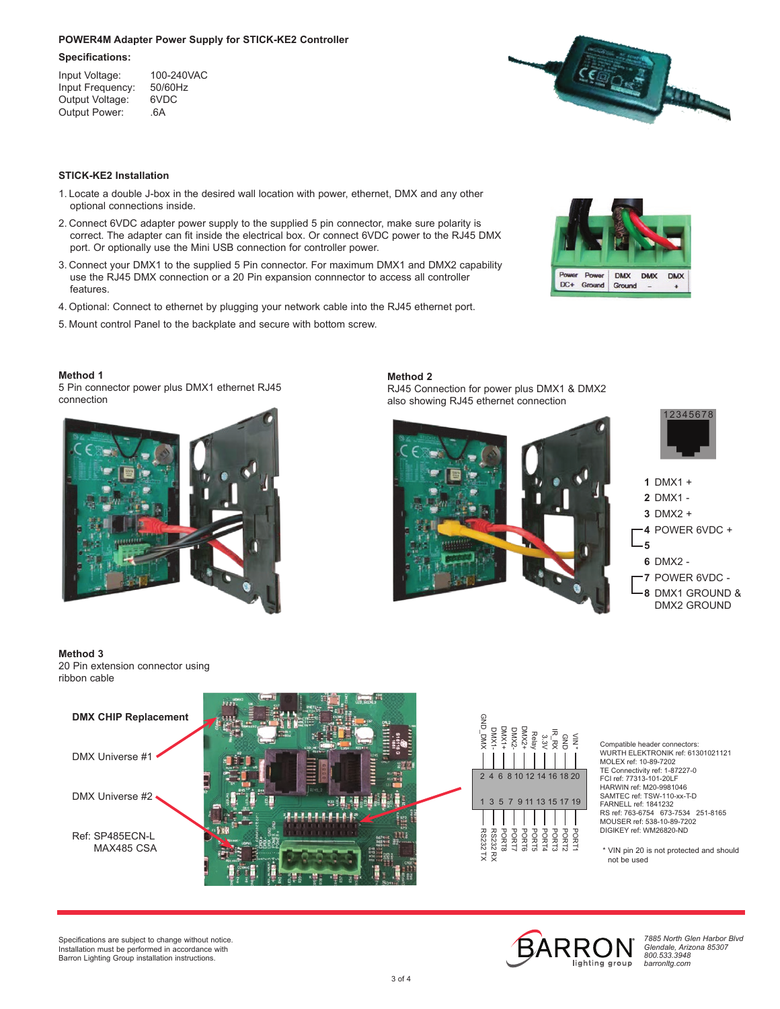#### **POWER4M Adapter Power Supply for STICK-KE2 Controller**

#### **Specifications:**

Input Voltage: 100-240VAC<br>Input Frequency: 50/60Hz Input Frequency: 50/60<br>Output Voltage: 6VDC Output Voltage: 6VD<br>Output Power: 6A Output Power:



# **STICK-KE2 Installation**

- 1. Locate a double J-box in the desired wall location with power, ethernet, DMX and any other optional connections inside.
- 2. Connect 6VDC adapter power supply to the supplied 5 pin connector, make sure polarity is correct. The adapter can fit inside the electrical box. Or connect 6VDC power to the RJ45 DMX port. Or optionally use the Mini USB connection for controller power.
- 3. Connect your DMX1 to the supplied 5 Pin connector. For maximum DMX1 and DMX2 capability use the RJ45 DMX connection or a 20 Pin expansion connnector to access all controller features.
- 4. Optional: Connect to ethernet by plugging your network cable into the RJ45 ethernet port.
- 5. Mount control Panel to the backplate and secure with bottom screw.

# **DMX DMX** Power **DMX** DC+ Ground Ground

**Method 1** 5 Pin connector power plus DMX1 ethernet RJ45 connection



**Method 2** RJ45 Connection for power plus DMX1 & DMX2 also showing RJ45 ethernet connection



#### **Method 3**

20 Pin extension connector using ribbon cable



Compatible header connectors: WURTH ELEKTRONIK ref: 61301021121 MOLEX ref: 10-89-7202 TE Connectivity ref: 1-87227-0 FCI ref: 77313-101-20LF HARWIN ref: M20-9981046 SAMTEC ref: TSW-110-xx-T-D FARNELL ref: 1841232 RS ref: 763-6754 673-7534 251-8165 MOUSER ref: 538-10-89-7202 DIGIKEY ref: WM26820-ND

\* VIN pin 20 is not protected and should not be used

Specifications are subject to change without notice. Installation must be performed in accordance with Barron Lighting Group installation instructions.



 $\frac{5}{2}$ 

PORT1

*7885 North Glen Harbor Blvd Glendale, Arizona 85307 800.533.3948 barronltg.com*